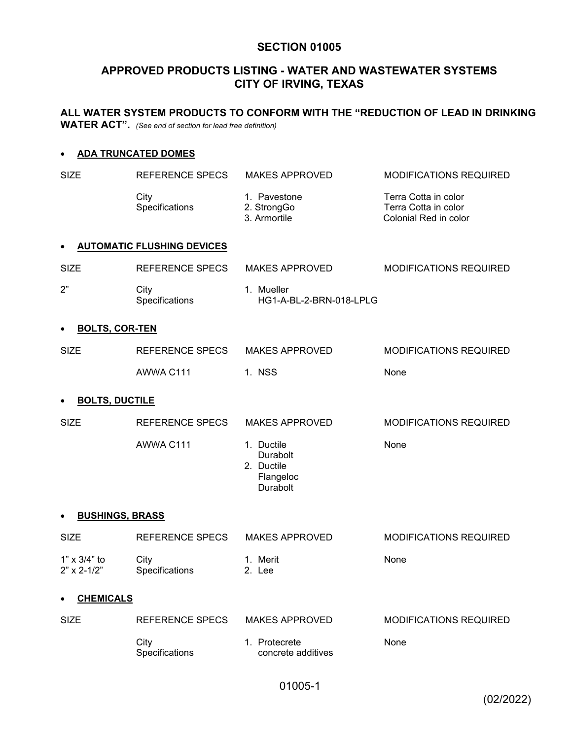# **SECTION 01005**

# **APPROVED PRODUCTS LISTING - WATER AND WASTEWATER SYSTEMS CITY OF IRVING, TEXAS**

**ALL WATER SYSTEM PRODUCTS TO CONFORM WITH THE "REDUCTION OF LEAD IN DRINKING WATER ACT".** *(See end of section for lead free definition)*

### **ADA TRUNCATED DOMES**

| <b>SIZE</b>                          | REFERENCE SPECS                   | <b>MAKES APPROVED</b>                                                | <b>MODIFICATIONS REQUIRED</b>                                         |
|--------------------------------------|-----------------------------------|----------------------------------------------------------------------|-----------------------------------------------------------------------|
|                                      | City<br>Specifications            | 1. Pavestone<br>2. StrongGo<br>3. Armortile                          | Terra Cotta in color<br>Terra Cotta in color<br>Colonial Red in color |
|                                      | <b>AUTOMATIC FLUSHING DEVICES</b> |                                                                      |                                                                       |
| <b>SIZE</b>                          | <b>REFERENCE SPECS</b>            | <b>MAKES APPROVED</b>                                                | <b>MODIFICATIONS REQUIRED</b>                                         |
| 2"                                   | City<br>Specifications            | 1. Mueller<br>HG1-A-BL-2-BRN-018-LPLG                                |                                                                       |
| <b>BOLTS, COR-TEN</b>                |                                   |                                                                      |                                                                       |
| <b>SIZE</b>                          | <b>REFERENCE SPECS</b>            | <b>MAKES APPROVED</b>                                                | MODIFICATIONS REQUIRED                                                |
|                                      | AWWA C111                         | 1. NSS                                                               | None                                                                  |
| <b>BOLTS, DUCTILE</b>                |                                   |                                                                      |                                                                       |
| <b>SIZE</b>                          | <b>REFERENCE SPECS</b>            | <b>MAKES APPROVED</b>                                                | <b>MODIFICATIONS REQUIRED</b>                                         |
|                                      | AWWA C111                         | 1. Ductile<br>Durabolt<br>2. Ductile<br>Flangeloc<br><b>Durabolt</b> | None                                                                  |
| <b>BUSHINGS, BRASS</b>               |                                   |                                                                      |                                                                       |
| <b>SIZE</b>                          | <b>REFERENCE SPECS</b>            | <b>MAKES APPROVED</b>                                                | MODIFICATIONS REQUIRED                                                |
| 1" x 3/4" to<br>$2" \times 2 - 1/2"$ | City<br>Specifications            | 1. Merit<br>2. Lee                                                   | None                                                                  |
| <b>CHEMICALS</b>                     |                                   |                                                                      |                                                                       |
| <b>SIZE</b>                          | <b>REFERENCE SPECS</b>            | <b>MAKES APPROVED</b>                                                | <b>MODIFICATIONS REQUIRED</b>                                         |
|                                      | City<br>Specifications            | 1. Protecrete<br>concrete additives                                  | None                                                                  |

01005-1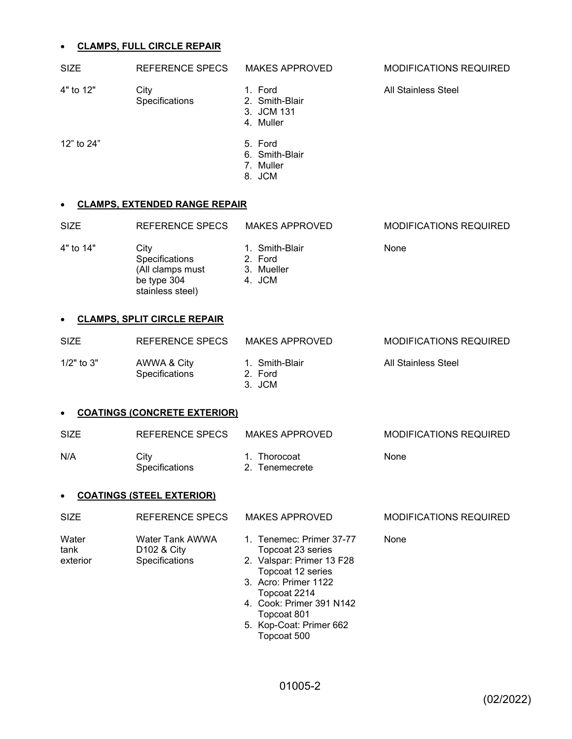# **CLAMPS FULL CIRCLE REPAIR**

|                                  | <u>ULAIVIFO, FULL UINULE NEFAIN</u>                                           |                                                                                                                                                                                                                              |                               |  |
|----------------------------------|-------------------------------------------------------------------------------|------------------------------------------------------------------------------------------------------------------------------------------------------------------------------------------------------------------------------|-------------------------------|--|
| <b>SIZE</b>                      | <b>REFERENCE SPECS</b>                                                        | <b>MAKES APPROVED</b>                                                                                                                                                                                                        | <b>MODIFICATIONS REQUIRED</b> |  |
| 4" to 12"                        | City<br>Specifications                                                        | 1. Ford<br>2. Smith-Blair<br>3. JCM 131<br>4. Muller                                                                                                                                                                         | <b>All Stainless Steel</b>    |  |
| 12" to 24"                       |                                                                               | 5. Ford<br>6. Smith-Blair<br>7. Muller<br>8. JCM                                                                                                                                                                             |                               |  |
|                                  | <b>CLAMPS, EXTENDED RANGE REPAIR</b>                                          |                                                                                                                                                                                                                              |                               |  |
| <b>SIZE</b>                      | <b>REFERENCE SPECS</b>                                                        | <b>MAKES APPROVED</b>                                                                                                                                                                                                        | <b>MODIFICATIONS REQUIRED</b> |  |
| 4" to 14"                        | City<br>Specifications<br>(All clamps must<br>be type 304<br>stainless steel) | 1. Smith-Blair<br>2. Ford<br>3. Mueller<br>4. JCM                                                                                                                                                                            | None                          |  |
|                                  | <b>CLAMPS, SPLIT CIRCLE REPAIR</b>                                            |                                                                                                                                                                                                                              |                               |  |
| <b>SIZE</b>                      | REFERENCE SPECS                                                               | <b>MAKES APPROVED</b>                                                                                                                                                                                                        | MODIFICATIONS REQUIRED        |  |
| 1/2" to 3"                       | AWWA & City<br>Specifications                                                 | 1. Smith-Blair<br>2. Ford<br>3. JCM                                                                                                                                                                                          | <b>All Stainless Steel</b>    |  |
|                                  | <b>COATINGS (CONCRETE EXTERIOR)</b>                                           |                                                                                                                                                                                                                              |                               |  |
| <b>SIZE</b>                      | <b>REFERENCE SPECS</b>                                                        | <b>MAKES APPROVED</b>                                                                                                                                                                                                        | <b>MODIFICATIONS REQUIRED</b> |  |
| N/A                              | City<br>Specifications                                                        | 1. Thorocoat<br>2. Tenemecrete                                                                                                                                                                                               | None                          |  |
| <b>COATINGS (STEEL EXTERIOR)</b> |                                                                               |                                                                                                                                                                                                                              |                               |  |
| <b>SIZE</b>                      | REFERENCE SPECS                                                               | <b>MAKES APPROVED</b>                                                                                                                                                                                                        | <b>MODIFICATIONS REQUIRED</b> |  |
| Water<br>tank<br>exterior        | Water Tank AWWA<br>D102 & City<br>Specifications                              | 1. Tenemec: Primer 37-77<br>Topcoat 23 series<br>2. Valspar: Primer 13 F28<br>Topcoat 12 series<br>3. Acro: Primer 1122<br>Topcoat 2214<br>4. Cook: Primer 391 N142<br>Topcoat 801<br>5. Kop-Coat: Primer 662<br>Topcoat 500 | None                          |  |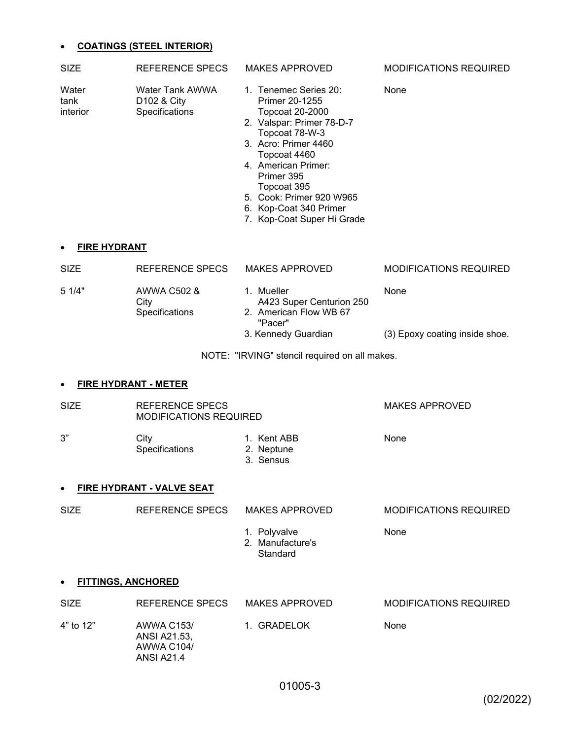### **COATINGS (STEEL INTERIOR)**

| <b>SIZE</b>               | REFERENCE SPECS                                              | <b>MAKES APPROVED</b>                                                                                                                                                                                                                                                                            | <b>MODIFICATIONS REQUIRED</b> |
|---------------------------|--------------------------------------------------------------|--------------------------------------------------------------------------------------------------------------------------------------------------------------------------------------------------------------------------------------------------------------------------------------------------|-------------------------------|
| Water<br>tank<br>interior | Water Tank AWWA<br>D <sub>102</sub> & City<br>Specifications | 1. Tenemec Series 20:<br><b>Primer 20-1255</b><br>Topcoat 20-2000<br>2. Valspar: Primer 78-D-7<br>Topcoat 78-W-3<br>3. Acro: Primer 4460<br>Topcoat 4460<br>4. American Primer:<br>Primer 395<br>Topcoat 395<br>5. Cook: Primer 920 W965<br>6. Kop-Coat 340 Primer<br>7. Kop-Coat Super Hi Grade | None                          |
|                           |                                                              |                                                                                                                                                                                                                                                                                                  |                               |

### **FIRE HYDRANT**

| <b>SIZE</b> | REFERENCE SPECS                              | <b>MAKES APPROVED</b>                                                                           | <b>MODIFICATIONS REQUIRED</b>          |
|-------------|----------------------------------------------|-------------------------------------------------------------------------------------------------|----------------------------------------|
| 51/4"       | AWWA C502 &<br>City<br><b>Specifications</b> | Mueller<br>A423 Super Centurion 250<br>2. American Flow WB 67<br>"Pacer"<br>3. Kennedy Guardian | None<br>(3) Epoxy coating inside shoe. |
|             |                                              |                                                                                                 |                                        |

### NOTE: "IRVING" stencil required on all makes.

### **FIRE HYDRANT - METER**

| <b>SIZE</b> | REFERENCE SPECS<br>MODIFICATIONS REQUIRED |                           | MAKES APPROVED |
|-------------|-------------------------------------------|---------------------------|----------------|
| 3"          | City<br><b>Specifications</b>             | 1. Kent ABB<br>2. Neptune | None           |

3. Sensus

# **FIRE HYDRANT - VALVE SEAT**

| <b>SIZE</b> | REFERENCE SPECS | MAKES APPROVED                   | MODIFICATIONS REQUIRED |
|-------------|-----------------|----------------------------------|------------------------|
|             |                 | 1. Polyvalve<br>2. Manufacture's | None                   |

# Standard

### **FITTINGS, ANCHORED**

| <b>SIZE</b> | REFERENCE SPECS                                        | MAKES APPROVED | <b>MODIFICATIONS REQUIRED</b> |
|-------------|--------------------------------------------------------|----------------|-------------------------------|
| 4" to 12"   | AWWA C153/<br>ANSI A21.53.<br>AWWA C104/<br>ANSI A21.4 | 1. GRADELOK    | None                          |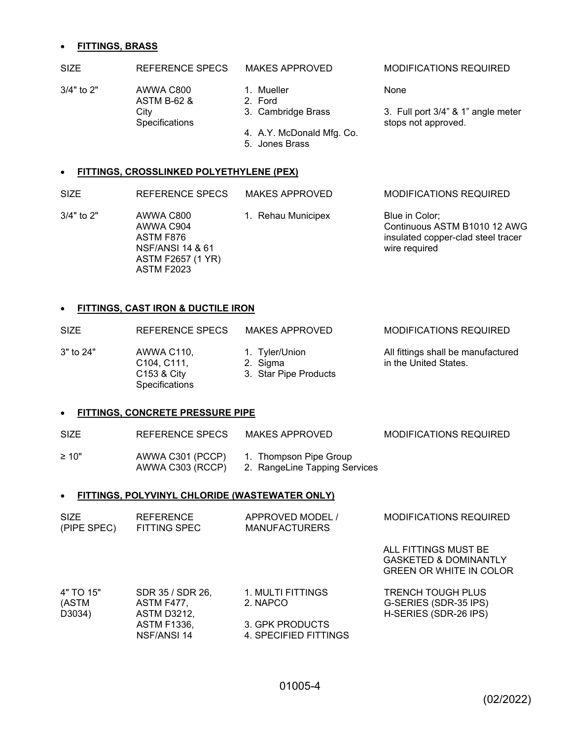#### **FITTINGS, BRASS**

### SIZE REFERENCE SPECS MAKES APPROVED MODIFICATIONS REQUIRED

3/4" to 2" AWWA C800 1. Mueller None ASTM B-62 & 2. Ford Specifications stops not approved.

- 
- 
- City 3. Cambridge Brass 3. Full port 3/4" & 1" angle meter
	- 4. A.Y. McDonald Mfg. Co.
	- 5. Jones Brass

### **FITTINGS, CROSSLINKED POLYETHYLENE (PEX)**

SIZE REFERENCE SPECS MAKES APPROVED MODIFICATIONS REQUIRED

3/4" to 2" AWWA C800 1. Rehau Municipex Blue in Color; NSF/ANSI 14 & 61 wire required ASTM F2657 (1 YR) ASTM F2023

AWWA C904 Continuous ASTM B1010 12 AWG ASTM F876 **insulated copper-clad steel tracer** 

### **FITTINGS, CAST IRON & DUCTILE IRON**

SIZE REFERENCE SPECS MAKES APPROVED MODIFICATIONS REQUIRED

Specifications

- 3" to 24" AWWA C110, 1. Tyler/Union All fittings shall be manufactured
	- C104, C111, 2. Sigma in the United States.
	- C153 & City 3. Star Pipe Products

#### **FITTINGS, CONCRETE PRESSURE PIPE**

| <b>SIZE</b> | REFERENCE SPECS                      | MAKES APPROVED                                          | MODIFICATIONS REQUIRED |
|-------------|--------------------------------------|---------------------------------------------------------|------------------------|
| $\geq 10"$  | AWWA C301 (PCCP)<br>AWWA C303 (RCCP) | 1. Thompson Pipe Group<br>2. RangeLine Tapping Services |                        |

#### **FITTINGS, POLYVINYL CHLORIDE (WASTEWATER ONLY)**

ASTM F1336, 3. GPK PRODUCTS NSF/ANSI 14 4. SPECIFIED FITTINGS

| <b>SIZE</b><br>(PIPE SPEC)   | <b>REFERENCE</b><br>FITTING SPEC                     | APPROVED MODEL /<br><b>MANUFACTURERS</b> | <b>MODIFICATIONS REQUIRED</b>                                                              |
|------------------------------|------------------------------------------------------|------------------------------------------|--------------------------------------------------------------------------------------------|
|                              |                                                      |                                          | ALL FITTINGS MUST BE<br><b>GASKETED &amp; DOMINANTLY</b><br><b>GREEN OR WHITE IN COLOR</b> |
| 4" TO 15"<br>(ASTM<br>D3034) | SDR 35 / SDR 26,<br>ASTM F477,<br><b>ASTM D3212,</b> | 1. MULTI FITTINGS<br>2. NAPCO            | <b>TRENCH TOUGH PLUS</b><br>G-SERIES (SDR-35 IPS)<br>H-SERIES (SDR-26 IPS)                 |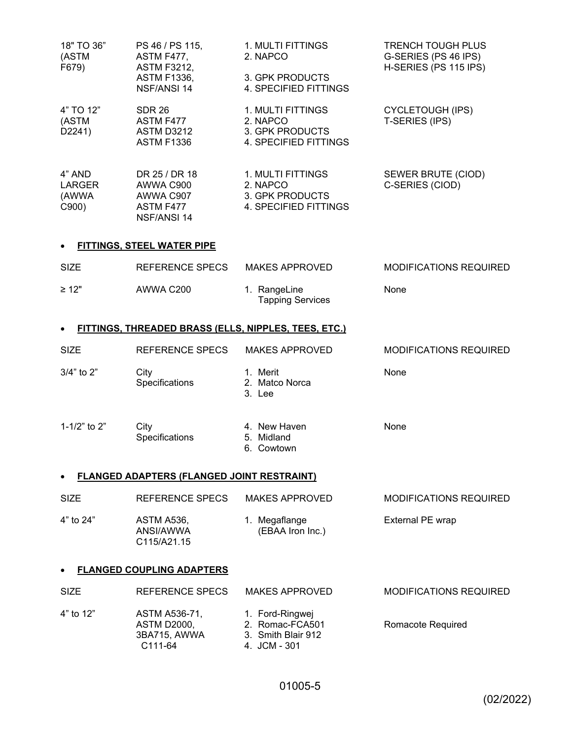| 18" TO 36"<br>(ASTM<br>F679)             | PS 46 / PS 115,<br>ASTM F477,<br><b>ASTM F3212,</b><br><b>ASTM F1336,</b><br>NSF/ANSI 14 | 1. MULTI FITTINGS<br>2. NAPCO<br>3. GPK PRODUCTS<br>4. SPECIFIED FITTINGS | <b>TRENCH TOUGH PLUS</b><br>G-SERIES (PS 46 IPS)<br>H-SERIES (PS 115 IPS) |
|------------------------------------------|------------------------------------------------------------------------------------------|---------------------------------------------------------------------------|---------------------------------------------------------------------------|
| 4" TO 12"<br>(ASTM<br>D2241)             | <b>SDR 26</b><br>ASTM F477<br><b>ASTM D3212</b><br><b>ASTM F1336</b>                     | 1. MULTI FITTINGS<br>2. NAPCO<br>3. GPK PRODUCTS<br>4. SPECIFIED FITTINGS | <b>CYCLETOUGH (IPS)</b><br>T-SERIES (IPS)                                 |
| 4" AND<br><b>LARGER</b><br>(AWWA<br>C900 | DR 25 / DR 18<br>AWWA C900<br>AWWA C907<br>ASTM F477<br>NSF/ANSI 14                      | 1. MULTI FITTINGS<br>2. NAPCO<br>3. GPK PRODUCTS<br>4. SPECIFIED FITTINGS | SEWER BRUTE (CIOD)<br>C-SERIES (CIOD)                                     |

# **FITTINGS, STEEL WATER PIPE**

| <b>SIZE</b> | REFERENCE SPECS | MAKES APPROVED                          | <b>MODIFICATIONS REQUIRED</b> |
|-------------|-----------------|-----------------------------------------|-------------------------------|
| $\geq 12"$  | AWWA C200       | 1. RangeLine<br><b>Tapping Services</b> | None                          |

# **FITTINGS, THREADED BRASS (ELLS, NIPPLES, TEES, ETC.)**

| <b>SIZE</b>    | REFERENCE SPECS        | <b>MAKES APPROVED</b>                   | <b>MODIFICATIONS REQUIRED</b> |
|----------------|------------------------|-----------------------------------------|-------------------------------|
| $3/4"$ to $2"$ | City<br>Specifications | Merit<br>1.<br>2. Matco Norca<br>3. Lee | None                          |
| 1-1/2" to 2"   | City<br>Specifications | 4. New Haven<br>5. Midland              | None                          |

6. Cowtown

# **FLANGED ADAPTERS (FLANGED JOINT RESTRAINT)**

| <b>SIZE</b> | REFERENCE SPECS                                                 | MAKES APPROVED                    | MODIFICATIONS REQUIRED |
|-------------|-----------------------------------------------------------------|-----------------------------------|------------------------|
| 4" to 24"   | ASTM A536.<br>ANSI/AWWA<br>C <sub>115</sub> /A <sub>21.15</sub> | 1. Megaflange<br>(EBAA Iron Inc.) | External PE wrap       |

### **FLANGED COUPLING ADAPTERS**

| <b>SIZE</b> | REFERENCE SPECS                                                      | MAKES APPROVED                                                           | <b>MODIFICATIONS REQUIRED</b> |
|-------------|----------------------------------------------------------------------|--------------------------------------------------------------------------|-------------------------------|
| 4" to 12"   | ASTM A536-71,<br>ASTM D2000.<br>3BA715, AWWA<br>C <sub>111</sub> -64 | 1. Ford-Ringwej<br>2. Romac-FCA501<br>3. Smith Blair 912<br>4. JCM - 301 | Romacote Required             |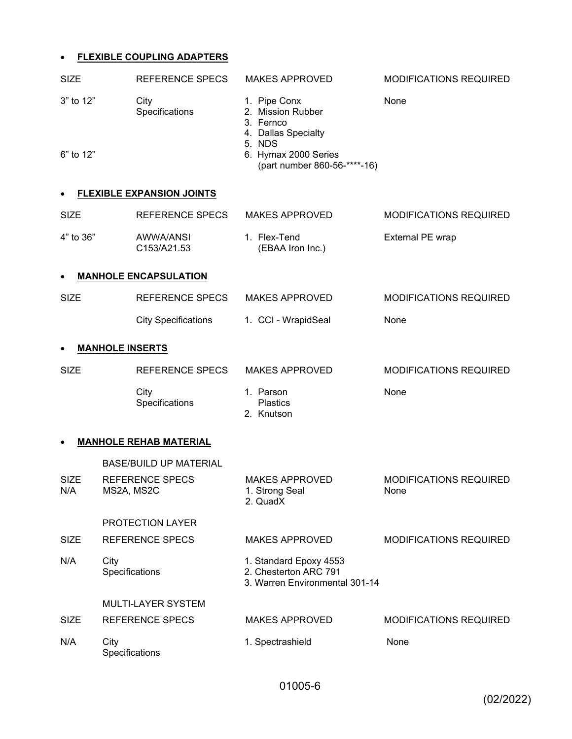# **FLEXIBLE COUPLING ADAPTERS**

| <b>SIZE</b>        | <b>REFERENCE SPECS</b>               | <b>MAKES APPROVED</b>                                                             | MODIFICATIONS REQUIRED                |
|--------------------|--------------------------------------|-----------------------------------------------------------------------------------|---------------------------------------|
| 3" to 12"          | City<br>Specifications               | 1. Pipe Conx<br>2. Mission Rubber<br>3. Fernco<br>4. Dallas Specialty<br>5. NDS   | None                                  |
| 6" to 12"          |                                      | 6. Hymax 2000 Series<br>(part number 860-56-****-16)                              |                                       |
|                    | <b>FLEXIBLE EXPANSION JOINTS</b>     |                                                                                   |                                       |
| <b>SIZE</b>        | REFERENCE SPECS                      | <b>MAKES APPROVED</b>                                                             | <b>MODIFICATIONS REQUIRED</b>         |
| 4" to 36"          | AWWA/ANSI<br>C153/A21.53             | 1. Flex-Tend<br>(EBAA Iron Inc.)                                                  | External PE wrap                      |
| $\bullet$          | <b>MANHOLE ENCAPSULATION</b>         |                                                                                   |                                       |
| <b>SIZE</b>        | REFERENCE SPECS                      | <b>MAKES APPROVED</b>                                                             | MODIFICATIONS REQUIRED                |
|                    | <b>City Specifications</b>           | 1. CCI - WrapidSeal                                                               | None                                  |
| $\bullet$          | <b>MANHOLE INSERTS</b>               |                                                                                   |                                       |
| <b>SIZE</b>        | REFERENCE SPECS                      | <b>MAKES APPROVED</b>                                                             | <b>MODIFICATIONS REQUIRED</b>         |
|                    | City<br>Specifications               | 1. Parson<br><b>Plastics</b><br>2. Knutson                                        | None                                  |
|                    | <b>MANHOLE REHAB MATERIAL</b>        |                                                                                   |                                       |
|                    | <b>BASE/BUILD UP MATERIAL</b>        |                                                                                   |                                       |
| <b>SIZE</b><br>N/A | <b>REFERENCE SPECS</b><br>MS2A, MS2C | <b>MAKES APPROVED</b><br>1. Strong Seal<br>2. QuadX                               | <b>MODIFICATIONS REQUIRED</b><br>None |
|                    | PROTECTION LAYER                     |                                                                                   |                                       |
| <b>SIZE</b>        | <b>REFERENCE SPECS</b>               | <b>MAKES APPROVED</b>                                                             | MODIFICATIONS REQUIRED                |
| N/A                | City<br>Specifications               | 1. Standard Epoxy 4553<br>2. Chesterton ARC 791<br>3. Warren Environmental 301-14 |                                       |
|                    | <b>MULTI-LAYER SYSTEM</b>            |                                                                                   |                                       |
| <b>SIZE</b>        | <b>REFERENCE SPECS</b>               | <b>MAKES APPROVED</b>                                                             | <b>MODIFICATIONS REQUIRED</b>         |
| N/A                | City<br>Specifications               | 1. Spectrashield                                                                  | None                                  |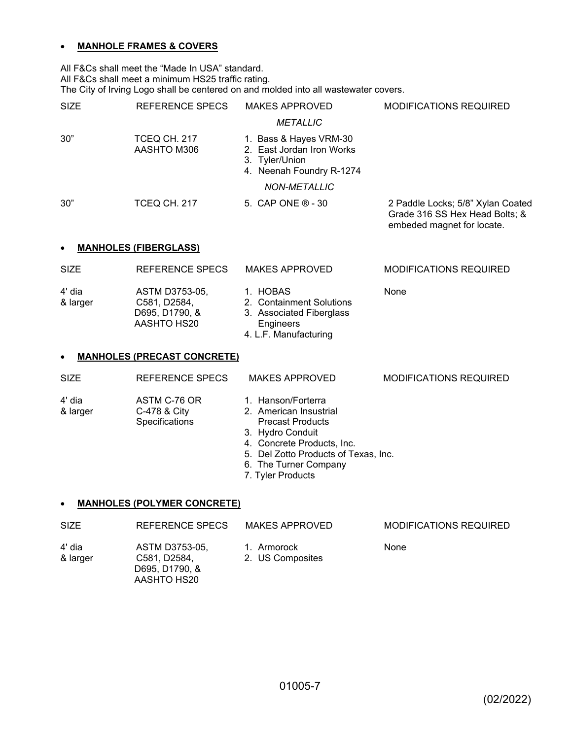# **MANHOLE FRAMES & COVERS**

All F&Cs shall meet the "Made In USA" standard. All F&Cs shall meet a minimum HS25 traffic rating. The City of Irving Logo shall be centered on and molded into all wastewater covers.

| <b>SIZE</b>                               | REFERENCE SPECS                    | <b>MAKES APPROVED</b>                                                                             | <b>MODIFICATIONS REQUIRED</b>                                                                     |  |
|-------------------------------------------|------------------------------------|---------------------------------------------------------------------------------------------------|---------------------------------------------------------------------------------------------------|--|
|                                           |                                    | <b>METALLIC</b>                                                                                   |                                                                                                   |  |
| 30"                                       | <b>TCEQ CH. 217</b><br>AASHTO M306 | 1. Bass & Hayes VRM-30<br>2. East Jordan Iron Works<br>3. Tyler/Union<br>4. Neenah Foundry R-1274 |                                                                                                   |  |
|                                           |                                    | <b>NON-METALLIC</b>                                                                               |                                                                                                   |  |
| 30"                                       | <b>TCEQ CH. 217</b>                | 5. CAP ONE ® - 30                                                                                 | 2 Paddle Locks; 5/8" Xylan Coated<br>Grade 316 SS Hex Head Bolts; &<br>embeded magnet for locate. |  |
| <b>MANHOLES (FIBERGLASS)</b><br>$\bullet$ |                                    |                                                                                                   |                                                                                                   |  |
| SI <sub>7</sub> F                         | REFERENCE SPECS                    | MAKES APPROVED                                                                                    | MODIFICATIONS REOLIIRED                                                                           |  |

| -914               | ו זכו בו זכו זכו בטט                                            | $M \cap L \cup N$                                                                                      | <u>MUULII IUATIUNU INLUUINLU</u> |
|--------------------|-----------------------------------------------------------------|--------------------------------------------------------------------------------------------------------|----------------------------------|
| 4' dia<br>& larger | ASTM D3753-05.<br>C581, D2584.<br>D695, D1790, &<br>AASHTO HS20 | 1. HOBAS<br>2. Containment Solutions<br>3. Associated Fiberglass<br>Engineers<br>4. L.F. Manufacturing | None                             |
|                    |                                                                 |                                                                                                        |                                  |

### **MANHOLES (PRECAST CONCRETE)**

| <b>SIZE</b> | REFERENCE SPECS       | <b>MAKES APPROVED</b>                | <b>MODIFICATIONS REQUIRED</b> |
|-------------|-----------------------|--------------------------------------|-------------------------------|
| 4' dia      | ASTM C-76 OR          | 1. Hanson/Forterra                   |                               |
| & larger    | C-478 & City          | 2. American Insustrial               |                               |
|             | <b>Specifications</b> | <b>Precast Products</b>              |                               |
|             |                       | 3. Hydro Conduit                     |                               |
|             |                       | 4. Concrete Products, Inc.           |                               |
|             |                       | 5. Del Zotto Products of Texas, Inc. |                               |

- 6. The Turner Company
- 7. Tyler Products

### **MANHOLES (POLYMER CONCRETE)**

| <b>SIZE</b>        | REFERENCE SPECS                                                 | MAKES APPROVED                  | <b>MODIFICATIONS REQUIRED</b> |
|--------------------|-----------------------------------------------------------------|---------------------------------|-------------------------------|
| 4' dia<br>& larger | ASTM D3753-05,<br>C581, D2584,<br>D695, D1790, &<br>AASHTO HS20 | 1. Armorock<br>2. US Composites | <b>None</b>                   |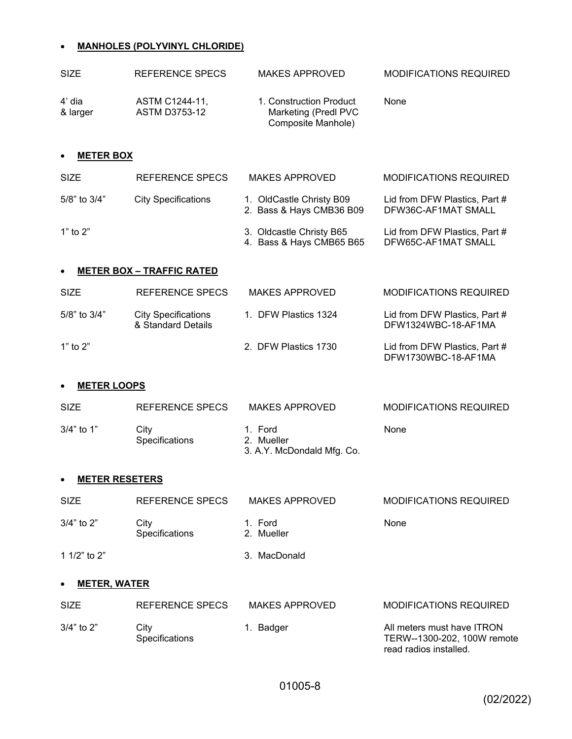# **MANHOLES (POLYVINYL CHLORIDE)**

| <b>SIZE</b>        | REFERENCE SPECS                        | <b>MAKES APPROVED</b>                                                 | <b>MODIFICATIONS REQUIRED</b> |
|--------------------|----------------------------------------|-----------------------------------------------------------------------|-------------------------------|
| 4' dia<br>& larger | ASTM C1244-11,<br><b>ASTM D3753-12</b> | 1. Construction Product<br>Marketing (Predl PVC<br>Composite Manhole) | None                          |

### **METER BOX**

| <b>SIZE</b>        | REFERENCE SPECS                  | <b>MAKES APPROVED</b>                                | <b>MODIFICATIONS REQUIRED</b>                        |
|--------------------|----------------------------------|------------------------------------------------------|------------------------------------------------------|
| $5/8$ " to $3/4$ " | <b>City Specifications</b>       | 1. OldCastle Christy B09<br>2. Bass & Hays CMB36 B09 | Lid from DFW Plastics, Part #<br>DFW36C-AF1MAT SMALL |
| 1" to $2"$         |                                  | 3. Oldcastle Christy B65<br>4. Bass & Hays CMB65 B65 | Lid from DFW Plastics, Part #<br>DFW65C-AF1MAT SMALL |
| $\bullet$          | <b>METER BOX - TRAFFIC RATED</b> |                                                      |                                                      |
| <b>SIZE</b>        | REFERENCE SPECS                  | <b>MAKES APPROVED</b>                                | <b>MODIFICATIONS REQUIRED</b>                        |

| $5/8$ " to $3/4$ " | <b>City Specifications</b><br>& Standard Details | 1. DFW Plastics 1324 | Lid from DFW Plastics. Part #<br>DFW1324WBC-18-AF1MA |
|--------------------|--------------------------------------------------|----------------------|------------------------------------------------------|
| 1" to $2"$         |                                                  | 2. DFW Plastics 1730 | Lid from DFW Plastics, Part #<br>DFW1730WBC-18-AF1MA |

#### **METER LOOPS**

| <b>SIZE</b>  | REFERENCE SPECS        | MAKES APPROVED                                      | MODIFICATIONS REQUIRED |
|--------------|------------------------|-----------------------------------------------------|------------------------|
| $3/4"$ to 1" | City<br>Specifications | 1. Ford<br>2. Mueller<br>3. A.Y. McDondald Mfg. Co. | None                   |

### **METER RESETERS**

| <b>SIZE</b>    | REFERENCE SPECS               | <b>MAKES APPROVED</b> | <b>MODIFICATIONS REQUIRED</b> |
|----------------|-------------------------------|-----------------------|-------------------------------|
| $3/4"$ to $2"$ | City<br><b>Specifications</b> | 1. Ford<br>2. Mueller | None                          |
| 1 1/2" to 2"   |                               | 3. MacDonald          |                               |

# **METER, WATER**

| <b>SIZE</b>    | REFERENCE SPECS               | MAKES APPROVED | <b>MODIFICATIONS REQUIRED</b>                                                       |
|----------------|-------------------------------|----------------|-------------------------------------------------------------------------------------|
| $3/4"$ to $2"$ | City<br><b>Specifications</b> | 1. Badger      | All meters must have ITRON<br>TERW--1300-202, 100W remote<br>read radios installed. |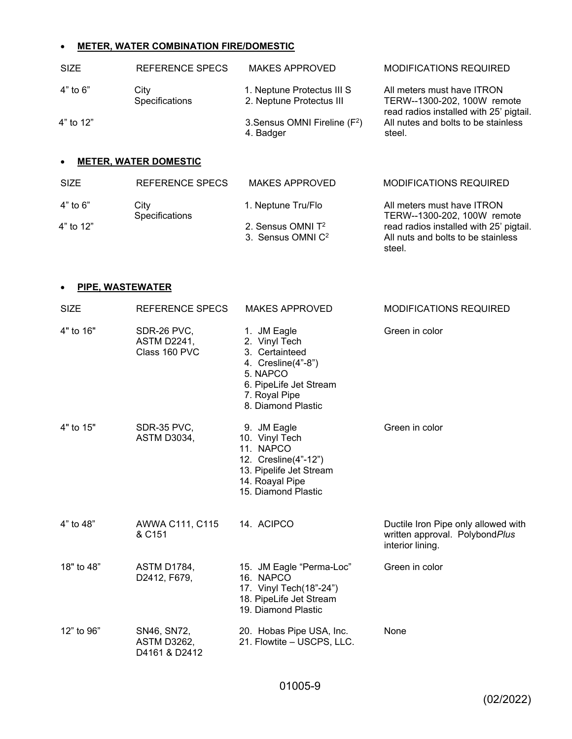# **METER, WATER COMBINATION FIRE/DOMESTIC**

| <b>SIZE</b>  | REFERENCE SPECS              | MAKES APPROVED                                                 | <b>MODIFICATIONS REQUIRED</b>                                                                        |
|--------------|------------------------------|----------------------------------------------------------------|------------------------------------------------------------------------------------------------------|
| $4"$ to $6"$ | City<br>Specifications       | 1. Neptune Protectus III S<br>2. Neptune Protectus III         | All meters must have ITRON<br>TERW--1300-202, 100W remote<br>read radios installed with 25' pigtail. |
| 4" to 12"    |                              | 3. Sensus OMNI Fireline (F <sup>2</sup> )<br>4. Badger         | All nutes and bolts to be stainless<br>steel.                                                        |
|              | <b>METER, WATER DOMESTIC</b> |                                                                |                                                                                                      |
| <b>SIZE</b>  | <b>REFERENCE SPECS</b>       | <b>MAKES APPROVED</b>                                          | MODIFICATIONS REQUIRED                                                                               |
| $4"$ to $6"$ | City<br>Specifications       | 1. Neptune Tru/Flo                                             | All meters must have ITRON<br>TERW--1300-202, 100W remote                                            |
| 4" to 12"    |                              | 2. Sensus OMNI T <sup>2</sup><br>3. Sensus OMNI C <sup>2</sup> | read radios installed with 25' pigtail.<br>All nuts and bolts to be stainless<br>steel.              |

# **PIPE, WASTEWATER**

| <b>SIZE</b> | <b>REFERENCE SPECS</b>                             | <b>MAKES APPROVED</b>                                                                                                                             | <b>MODIFICATIONS REQUIRED</b>                                                             |
|-------------|----------------------------------------------------|---------------------------------------------------------------------------------------------------------------------------------------------------|-------------------------------------------------------------------------------------------|
| 4" to 16"   | SDR-26 PVC,<br><b>ASTM D2241,</b><br>Class 160 PVC | 1. JM Eagle<br>2. Vinyl Tech<br>3. Certainteed<br>4. Cresline(4"-8")<br>5. NAPCO<br>6. PipeLife Jet Stream<br>7. Royal Pipe<br>8. Diamond Plastic | Green in color                                                                            |
| 4" to 15"   | SDR-35 PVC,<br><b>ASTM D3034,</b>                  | 9. JM Eagle<br>10. Vinyl Tech<br>11. NAPCO<br>12. Cresline(4"-12")<br>13. Pipelife Jet Stream<br>14. Roayal Pipe<br>15. Diamond Plastic           | Green in color                                                                            |
| 4" to 48"   | AWWA C111, C115<br>& C151                          | 14. ACIPCO                                                                                                                                        | Ductile Iron Pipe only allowed with<br>written approval. PolybondPlus<br>interior lining. |
| 18" to 48"  | <b>ASTM D1784,</b><br>D2412, F679,                 | 15. JM Eagle "Perma-Loc"<br>16. NAPCO<br>17. Vinyl Tech(18"-24")<br>18. PipeLife Jet Stream<br>19. Diamond Plastic                                | Green in color                                                                            |
| 12" to 96"  | SN46, SN72,<br><b>ASTM D3262,</b><br>D4161 & D2412 | 20. Hobas Pipe USA, Inc.<br>21. Flowtite - USCPS, LLC.                                                                                            | None                                                                                      |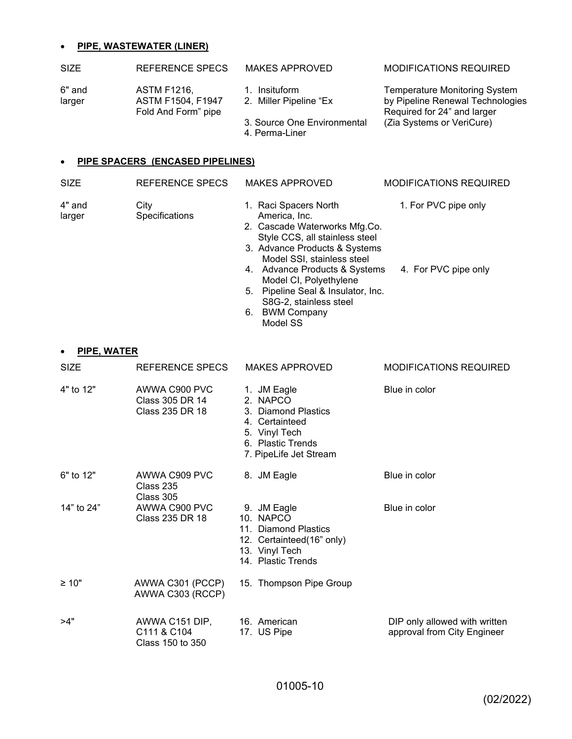### **PIPE, WASTEWATER (LINER)**

larger Specifications America, Inc.

| <b>SIZE</b>      | REFERENCE SPECS                                                | <b>MAKES APPROVED</b>                                                                    | <b>MODIFICATIONS REQUIRED</b>                                                                                                        |
|------------------|----------------------------------------------------------------|------------------------------------------------------------------------------------------|--------------------------------------------------------------------------------------------------------------------------------------|
| 6" and<br>larger | <b>ASTM F1216,</b><br>ASTM F1504, F1947<br>Fold And Form" pipe | 1. Insituform<br>2. Miller Pipeline "Ex<br>3. Source One Environmental<br>4. Perma-Liner | <b>Temperature Monitoring System</b><br>by Pipeline Renewal Technologies<br>Required for 24" and larger<br>(Zia Systems or VeriCure) |
| $\bullet$        | PIPE SPACERS (ENCASED PIPELINES)                               |                                                                                          |                                                                                                                                      |
| <b>SIZE</b>      | REFERENCE SPECS                                                | <b>MAKES APPROVED</b>                                                                    | <b>MODIFICATIONS REQUIRED</b>                                                                                                        |
| 4" and           | City                                                           | 1. Raci Spacers North                                                                    | 1. For PVC pipe only                                                                                                                 |

2. Cascade Waterworks Mfg.Co. Style CCS, all stainless steel 3. Advance Products & Systems Model SSI, stainless steel

Model CI, Polyethylene 5. Pipeline Seal & Insulator, Inc. S8G-2, stainless steel

6. BWM Company Model SS

4. Advance Products & Systems 4. For PVC pipe only

| <b>SIZE</b> | REFERENCE SPECS                                     | <b>MAKES APPROVED</b>                                                                                                            | <b>MODIFICATIONS REQUIRED</b>                                |
|-------------|-----------------------------------------------------|----------------------------------------------------------------------------------------------------------------------------------|--------------------------------------------------------------|
| 4" to 12"   | AWWA C900 PVC<br>Class 305 DR 14<br>Class 235 DR 18 | 1. JM Eagle<br>2. NAPCO<br>3. Diamond Plastics<br>4. Certainteed<br>5. Vinyl Tech<br>6. Plastic Trends<br>7. PipeLife Jet Stream | Blue in color                                                |
| 6" to 12"   | AWWA C909 PVC<br>Class 235<br>Class 305             | 8. JM Eagle                                                                                                                      | Blue in color                                                |
| 14" to 24"  | AWWA C900 PVC<br>Class 235 DR 18                    | 9. JM Eagle<br>10. NAPCO<br>11. Diamond Plastics<br>12. Certainteed(16" only)<br>13. Vinyl Tech<br>14. Plastic Trends            | Blue in color                                                |
| ≥ 10"       | AWWA C301 (PCCP)<br>AWWA C303 (RCCP)                | 15. Thompson Pipe Group                                                                                                          |                                                              |
| >4"         | AWWA C151 DIP,<br>C111 & C104<br>Class 150 to 350   | 16. American<br>17. US Pipe                                                                                                      | DIP only allowed with written<br>approval from City Engineer |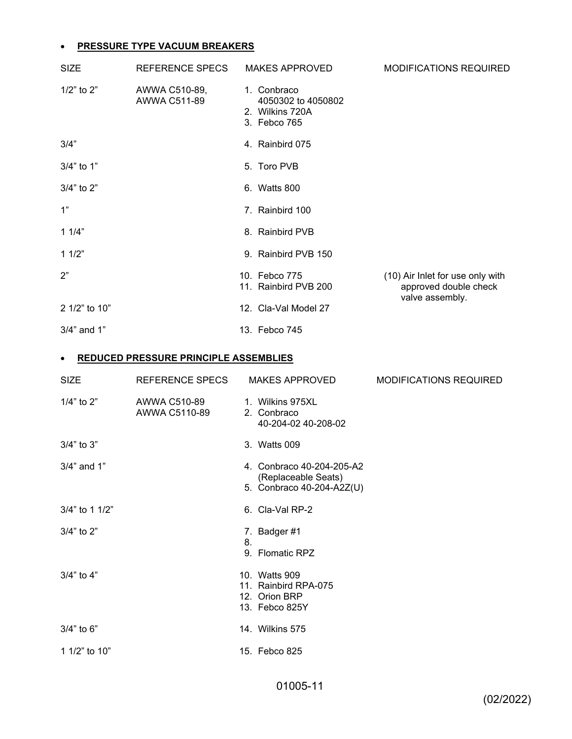# **PRESSURE TYPE VACUUM BREAKERS**

| <b>SIZE</b>      | REFERENCE SPECS               | <b>MAKES APPROVED</b>                                                | <b>MODIFICATIONS REQUIRED</b>                             |
|------------------|-------------------------------|----------------------------------------------------------------------|-----------------------------------------------------------|
| $1/2$ " to $2$ " | AWWA C510-89,<br>AWWA C511-89 | 1. Conbraco<br>4050302 to 4050802<br>2. Wilkins 720A<br>3. Febco 765 |                                                           |
| 3/4"             |                               | 4. Rainbird 075                                                      |                                                           |
| 3/4" to 1"       |                               | 5. Toro PVB                                                          |                                                           |
| $3/4"$ to $2"$   |                               | 6. Watts 800                                                         |                                                           |
| 1"               |                               | 7. Rainbird 100                                                      |                                                           |
| 11/4"            |                               | 8. Rainbird PVB                                                      |                                                           |
| 11/2"            |                               | 9. Rainbird PVB 150                                                  |                                                           |
| 2"               |                               | 10. Febco 775<br>11. Rainbird PVB 200                                | (10) Air Inlet for use only with<br>approved double check |
| 2 1/2" to 10"    |                               | 12. Cla-Val Model 27                                                 | valve assembly.                                           |
| 3/4" and 1"      |                               | 13. Febco 745                                                        |                                                           |

# **REDUCED PRESSURE PRINCIPLE ASSEMBLIES**

| <b>SIZE</b>       | REFERENCE SPECS               | <b>MAKES APPROVED</b>                                                         | <b>MODIFICATIONS REQUIRED</b> |
|-------------------|-------------------------------|-------------------------------------------------------------------------------|-------------------------------|
| $1/4$ " to $2"$   | AWWA C510-89<br>AWWA C5110-89 | 1. Wilkins 975XL<br>2. Conbraco<br>40-204-02 40-208-02                        |                               |
| 3/4" to 3"        |                               | 3. Watts 009                                                                  |                               |
| $3/4$ " and $1$ " |                               | 4. Conbraco 40-204-205-A2<br>(Replaceable Seats)<br>5. Conbraco 40-204-A2Z(U) |                               |
| 3/4" to 1 1/2"    |                               | 6. Cla-Val RP-2                                                               |                               |
| $3/4"$ to $2"$    |                               | 7. Badger #1<br>8.<br>9. Flomatic RPZ                                         |                               |
| $3/4"$ to $4"$    |                               | 10. Watts 909<br>11. Rainbird RPA-075<br>12. Orion BRP<br>13. Febco 825Y      |                               |
| $3/4"$ to 6"      |                               | 14. Wilkins 575                                                               |                               |
| 1 1/2" to 10"     |                               | 15. Febco 825                                                                 |                               |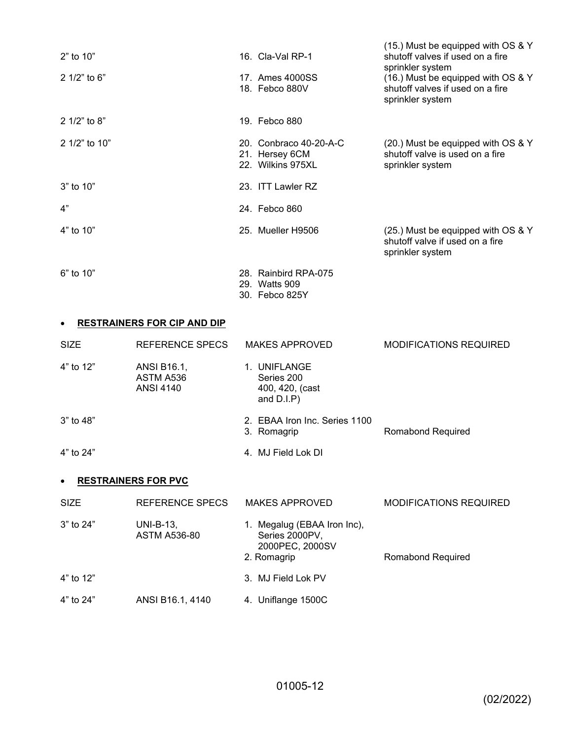| $2"$ to 10"   | 16. Cla-Val RP-1                                              | (15.) Must be equipped with OS & Y<br>shutoff valves if used on a fire                                         |
|---------------|---------------------------------------------------------------|----------------------------------------------------------------------------------------------------------------|
| 2 1/2" to 6"  | 17. Ames 4000SS<br>18. Febco 880V                             | sprinkler system<br>(16.) Must be equipped with OS & Y<br>shutoff valves if used on a fire<br>sprinkler system |
| 2 1/2" to 8"  | 19. Febco 880                                                 |                                                                                                                |
| 2 1/2" to 10" | 20. Conbraco 40-20-A-C<br>21. Hersey 6CM<br>22. Wilkins 975XL | (20.) Must be equipped with OS & Y<br>shutoff valve is used on a fire<br>sprinkler system                      |
| $3"$ to 10"   | 23. ITT Lawler RZ                                             |                                                                                                                |
| 4"            | 24. Febco 860                                                 |                                                                                                                |
| 4" to 10"     | 25. Mueller H9506                                             | (25.) Must be equipped with OS & Y<br>shutoff valve if used on a fire<br>sprinkler system                      |
| $6"$ to 10"   | 28. Rainbird RPA-075<br>29. Watts 909<br>30. Febco 825Y       |                                                                                                                |

### **RESTRAINERS FOR CIP AND DIP**

| <b>SIZE</b>   | REFERENCE SPECS                              | <b>MAKES APPROVED</b>                                                           | <b>MODIFICATIONS REQUIRED</b> |
|---------------|----------------------------------------------|---------------------------------------------------------------------------------|-------------------------------|
| 4" to 12"     | ANSI B16.1,<br>ASTM A536<br><b>ANSI 4140</b> | 1. UNIFLANGE<br>Series 200<br>400, 420, (cast<br>and $D.I.P$ )                  |                               |
| $3"$ to 48"   |                                              | 2. EBAA Iron Inc. Series 1100<br>3. Romagrip                                    | Romabond Required             |
| 4" to 24"     |                                              | 4. MJ Field Lok DI                                                              |                               |
|               | <b>RESTRAINERS FOR PVC</b>                   |                                                                                 |                               |
| <b>SIZE</b>   | REFERENCE SPECS                              | <b>MAKES APPROVED</b>                                                           | <b>MODIFICATIONS REQUIRED</b> |
| $3"$ to $24"$ | UNI-B-13,<br><b>ASTM A536-80</b>             | 1. Megalug (EBAA Iron Inc),<br>Series 2000PV,<br>2000PEC, 2000SV<br>2. Romagrip | Romabond Required             |

4" to 12" 3. MJ Field Lok PV 4" to 24" ANSI B16.1, 4140 4. Uniflange 1500C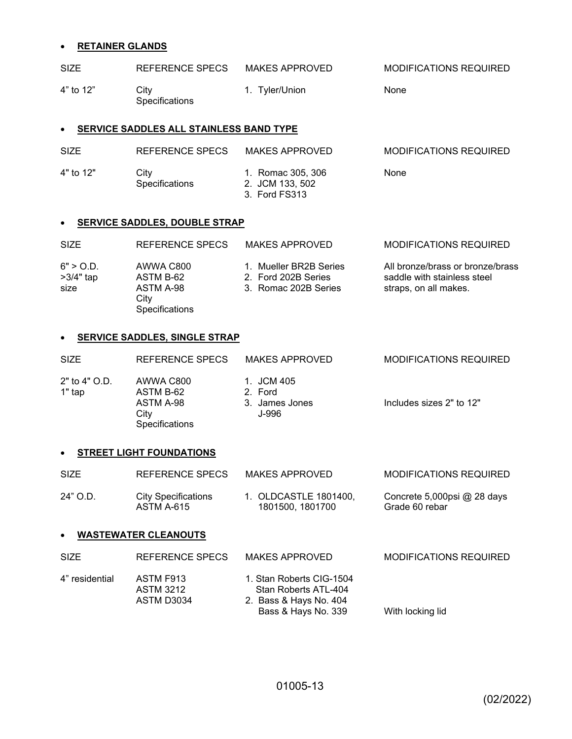# **RETAINER GLANDS**

| <b>SIZE</b> | REFERENCE SPECS                         | <b>MAKES APPROVED</b>                                 | <b>MODIFICATIONS REQUIRED</b> |
|-------------|-----------------------------------------|-------------------------------------------------------|-------------------------------|
| 4" to 12"   | City<br>Specifications                  | <b>Tyler/Union</b><br>1.                              | None                          |
| $\bullet$   | SERVICE SADDLES ALL STAINLESS BAND TYPE |                                                       |                               |
| <b>SIZE</b> | REFERENCE SPECS                         | <b>MAKES APPROVED</b>                                 | <b>MODIFICATIONS REQUIRED</b> |
| 4" to 12"   | City<br>Specifications                  | 1. Romac 305, 306<br>2. JCM 133, 502<br>3. Ford FS313 | None                          |

### **SERVICE SADDLES, DOUBLE STRAP**

| <b>SIZE</b>                      | REFERENCE SPECS                                                      | <b>MAKES APPROVED</b>                                                 | <b>MODIFICATIONS REQUIRED</b>                                                            |
|----------------------------------|----------------------------------------------------------------------|-----------------------------------------------------------------------|------------------------------------------------------------------------------------------|
| 6" > O.D.<br>$>3/4"$ tap<br>size | AWWA C800<br>ASTM B-62<br>ASTM A-98<br>City<br><b>Specifications</b> | 1. Mueller BR2B Series<br>2. Ford 202B Series<br>3. Romac 202B Series | All bronze/brass or bronze/brass<br>saddle with stainless steel<br>straps, on all makes. |

### **SERVICE SADDLES, SINGLE STRAP**

| <b>SIZE</b>               | REFERENCE SPECS                                                      | <b>MAKES APPROVED</b>                            | MODIFICATIONS REQUIRED   |
|---------------------------|----------------------------------------------------------------------|--------------------------------------------------|--------------------------|
| $2"$ to 4" O.D.<br>1" tap | AWWA C800<br>ASTM B-62<br>ASTM A-98<br>City<br><b>Specifications</b> | 1. JCM 405<br>2. Ford<br>3. James Jones<br>J-996 | Includes sizes 2" to 12" |

# **STREET LIGHT FOUNDATIONS**

| <b>SIZE</b> | REFERENCE SPECS     | <b>MAKES APPROVED</b> | <b>MODIFICATIONS REQUIRED</b> |
|-------------|---------------------|-----------------------|-------------------------------|
| 24" O.D.    | City Specifications | 1. OLDCASTLE 1801400. | Concrete 5,000psi $@$ 28 days |
|             | ASTM A-615          | 1801500, 1801700      | Grade 60 rebar                |

### **WASTEWATER CLEANOUTS**

| <b>SIZE</b>    | REFERENCE SPECS                             | MAKES APPROVED                                                                                    | <b>MODIFICATIONS REQUIRED</b> |
|----------------|---------------------------------------------|---------------------------------------------------------------------------------------------------|-------------------------------|
| 4" residential | ASTM F913<br><b>ASTM 3212</b><br>ASTM D3034 | 1. Stan Roberts CIG-1504<br>Stan Roberts ATL-404<br>2. Bass & Hays No. 404<br>Bass & Hays No. 339 | With locking lid              |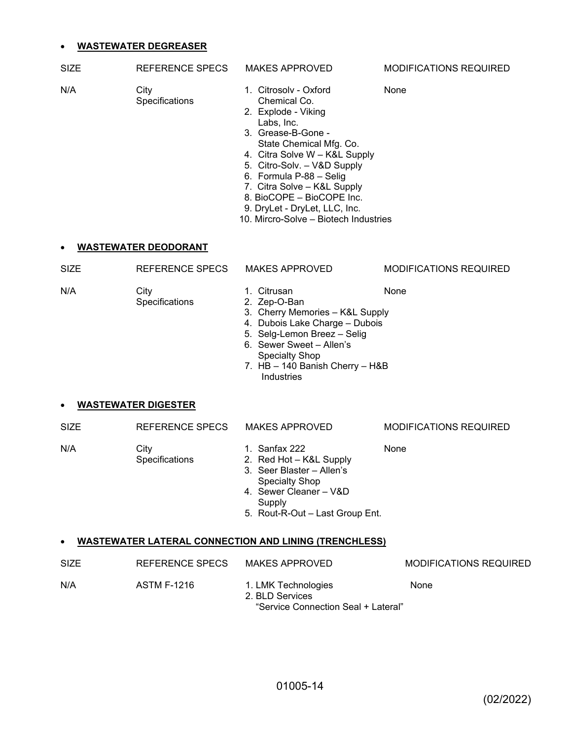### **WASTEWATER DEGREASER**

| SIZE | REFERENCE SPECS               | <b>MAKES APPROVED</b>                 | <b>MODIFICATIONS REQUIRED</b> |
|------|-------------------------------|---------------------------------------|-------------------------------|
| N/A  | City<br><b>Specifications</b> | 1. Citrosoly - Oxford<br>Chemical Co. | None                          |

- 2. Explode Viking Labs, Inc.
- 3. Grease-B-Gone State Chemical Mfg. Co.
- 4. Citra Solve W K&L Supply
- 5. Citro-Solv. V&D Supply
- 6. Formula P-88 Selig
- 7. Citra Solve K&L Supply
- 8. BioCOPE BioCOPE Inc.
- 9. DryLet DryLet, LLC, Inc.
- 10. Mircro-Solve Biotech Industries

### **WASTEWATER DEODORANT**

| <b>SIZE</b> | REFERENCE SPECS               | <b>MAKES APPROVED</b>                                                                                                                                                                                                             | <b>MODIFICATIONS REQUIRED</b> |
|-------------|-------------------------------|-----------------------------------------------------------------------------------------------------------------------------------------------------------------------------------------------------------------------------------|-------------------------------|
| N/A         | City<br><b>Specifications</b> | Citrusan<br>1.<br>2. Zep-O-Ban<br>3. Cherry Memories - K&L Supply<br>4. Dubois Lake Charge - Dubois<br>5. Selg-Lemon Breez - Selig<br>6. Sewer Sweet - Allen's<br>Specialty Shop<br>7. HB - 140 Banish Cherry - H&B<br>Industries | None                          |

#### **WASTEWATER DIGESTER**

| <b>SIZE</b> | REFERENCE SPECS               | <b>MAKES APPROVED</b>                                                                                             | <b>MODIFICATIONS REQUIRED</b> |
|-------------|-------------------------------|-------------------------------------------------------------------------------------------------------------------|-------------------------------|
| N/A         | City<br><b>Specifications</b> | 1. Sanfax 222<br>2. Red Hot - K&L Supply<br>3. Seer Blaster – Allen's<br>Specialty Shop<br>4. Sewer Cleaner – V&D | None                          |
|             |                               |                                                                                                                   |                               |

- Supply
- 5. Rout-R-Out Last Group Ent.

### **WASTEWATER LATERAL CONNECTION AND LINING (TRENCHLESS)**

| <b>SIZE</b> | REFERENCE SPECS | <b>MAKES APPROVED</b>                                                         | <b>MODIFICATIONS REQUIRED</b> |
|-------------|-----------------|-------------------------------------------------------------------------------|-------------------------------|
| N/A         | ASTM F-1216     | 1. LMK Technologies<br>2. BLD Services<br>"Service Connection Seal + Lateral" | None                          |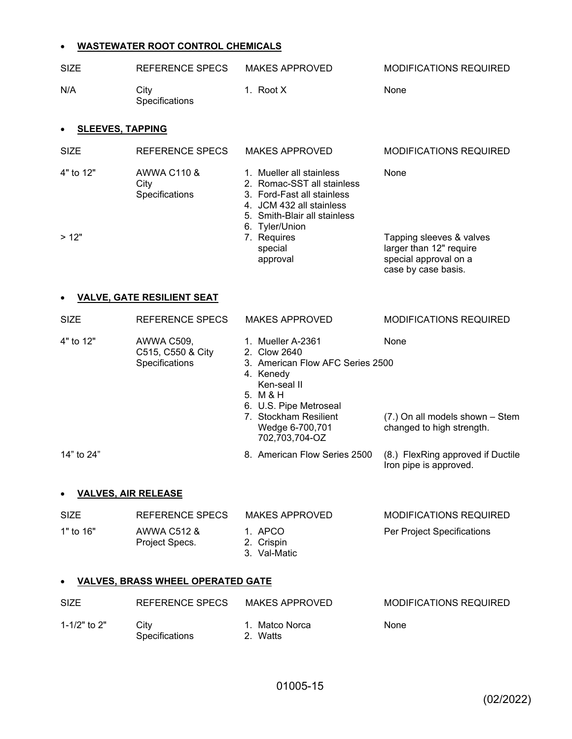# **WASTEWATER ROOT CONTROL CHEMICALS**

| <b>SIZE</b>                | <b>REFERENCE SPECS</b>                            | <b>MAKES APPROVED</b>                                                                                                                                                                                 | <b>MODIFICATIONS REQUIRED</b>                                                                       |
|----------------------------|---------------------------------------------------|-------------------------------------------------------------------------------------------------------------------------------------------------------------------------------------------------------|-----------------------------------------------------------------------------------------------------|
| N/A                        | City<br>Specifications                            | 1. Root X                                                                                                                                                                                             | None                                                                                                |
| <b>SLEEVES, TAPPING</b>    |                                                   |                                                                                                                                                                                                       |                                                                                                     |
| <b>SIZE</b>                | REFERENCE SPECS                                   | <b>MAKES APPROVED</b>                                                                                                                                                                                 | <b>MODIFICATIONS REQUIRED</b>                                                                       |
| 4" to 12"                  | AWWA C110 &<br>City<br>Specifications             | 1. Mueller all stainless<br>2. Romac-SST all stainless<br>3. Ford-Fast all stainless<br>4. JCM 432 all stainless<br>5. Smith-Blair all stainless                                                      | None                                                                                                |
| >12"                       |                                                   | 6. Tyler/Union<br>7. Requires<br>special<br>approval                                                                                                                                                  | Tapping sleeves & valves<br>larger than 12" require<br>special approval on a<br>case by case basis. |
|                            | <b>VALVE, GATE RESILIENT SEAT</b>                 |                                                                                                                                                                                                       |                                                                                                     |
| <b>SIZE</b>                | <b>REFERENCE SPECS</b>                            | <b>MAKES APPROVED</b>                                                                                                                                                                                 | <b>MODIFICATIONS REQUIRED</b>                                                                       |
| 4" to 12"                  | AWWA C509,<br>C515, C550 & City<br>Specifications | 1. Mueller A-2361<br>2. Clow 2640<br>3. American Flow AFC Series 2500<br>4. Kenedy<br>Ken-seal II<br>5. M & H<br>6. U.S. Pipe Metroseal<br>7. Stockham Resilient<br>Wedge 6-700,701<br>702,703,704-OZ | None<br>(7.) On all models shown - Stem<br>changed to high strength.                                |
| 14" to 24"                 |                                                   | 8. American Flow Series 2500                                                                                                                                                                          | (8.) FlexRing approved if Ductile<br>Iron pipe is approved.                                         |
| <b>VALVES, AIR RELEASE</b> |                                                   |                                                                                                                                                                                                       |                                                                                                     |
| <b>SIZE</b>                | REFERENCE SPECS                                   | <b>MAKES APPROVED</b>                                                                                                                                                                                 | <b>MODIFICATIONS REQUIRED</b>                                                                       |
| 1" to 16"                  | <b>AWWA C512 &amp;</b><br>Project Specs.          | 1. APCO<br>2. Crispin<br>3. Val-Matic                                                                                                                                                                 | Per Project Specifications                                                                          |
|                            | <b>VALVES, BRASS WHEEL OPERATED GATE</b>          |                                                                                                                                                                                                       |                                                                                                     |
| <b>SIZE</b>                | REFERENCE SPECS                                   | <b>MAKES APPROVED</b>                                                                                                                                                                                 | <b>MODIFICATIONS REQUIRED</b>                                                                       |
| 1-1/2" to 2"               | City<br>Specifications                            | 1. Matco Norca<br>2. Watts                                                                                                                                                                            | None                                                                                                |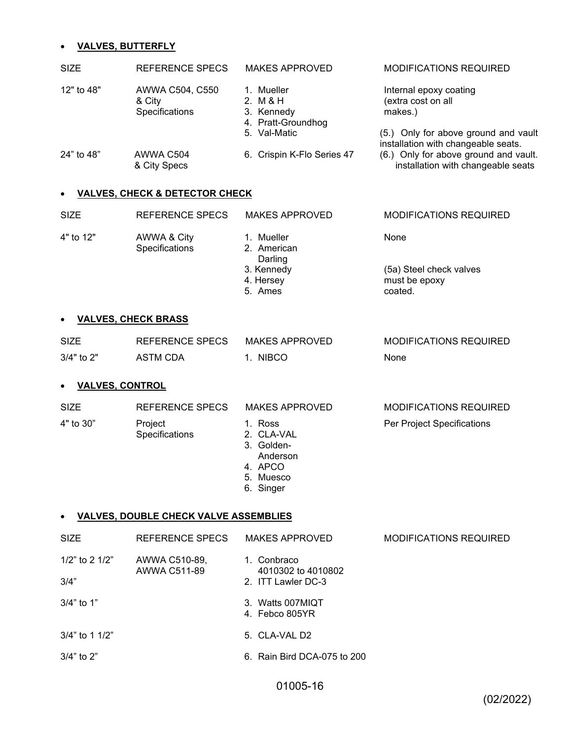# **VALVES, BUTTERFLY**

| <b>SIZE</b> | REFERENCE SPECS                             | <b>MAKES APPROVED</b>                                      | <b>MODIFICATIONS REQUIRED</b>                                               |
|-------------|---------------------------------------------|------------------------------------------------------------|-----------------------------------------------------------------------------|
| 12" to 48"  | AWWA C504, C550<br>& City<br>Specifications | 1. Mueller<br>2. M & H<br>3. Kennedy<br>4. Pratt-Groundhog | Internal epoxy coating<br>(extra cost on all<br>makes.)                     |
|             |                                             | 5. Val-Matic                                               | (5.) Only for above ground and vault<br>installation with changeable seats. |
| 24" to 48"  | AWWA C504<br>& City Specs                   | 6. Crispin K-Flo Series 47                                 | (6.) Only for above ground and vault.<br>installation with changeable seats |
|             |                                             |                                                            |                                                                             |

### **VALVES, CHECK & DETECTOR CHECK**

| <b>SIZE</b> | REFERENCE SPECS               | <b>MAKES APPROVED</b>                | <b>MODIFICATIONS REQUIRED</b>                       |
|-------------|-------------------------------|--------------------------------------|-----------------------------------------------------|
| 4" to 12"   | AWWA & City<br>Specifications | 1. Mueller<br>2. American<br>Darling | None                                                |
|             |                               | 3. Kennedy<br>4. Hersey<br>5. Ames   | (5a) Steel check valves<br>must be epoxy<br>coated. |

### **VALVES, CHECK BRASS**

| <b>SIZE</b>    | REFERENCE SPECS | MAKES APPROVED | <b>MODIFICATIONS REQUIRED</b> |
|----------------|-----------------|----------------|-------------------------------|
| $3/4"$ to $2"$ | ASTM CDA        | NIBCO          | None                          |

### **VALVES, CONTROL**

| <b>SIZE</b> | REFERENCE SPECS           | <b>MAKES APPROVED</b>                                      | <b>MODIFICATIONS REQUIRED</b> |
|-------------|---------------------------|------------------------------------------------------------|-------------------------------|
| 4" to 30"   | Project<br>Specifications | 1. Ross<br>2. CLA-VAL<br>3. Golden-<br>Anderson<br>4. APCO | Per Project Specifications    |

- 5. Muesco
- 
- 6. Singer

### **VALVES, DOUBLE CHECK VALVE ASSEMBLIES**

| <b>SIZE</b>            | REFERENCE SPECS               | MAKES APPROVED                                                  | <b>MODIFICATIONS REQUIRED</b> |
|------------------------|-------------------------------|-----------------------------------------------------------------|-------------------------------|
| 1/2" to 2 1/2"<br>3/4" | AWWA C510-89,<br>AWWA C511-89 | Conbraco<br>$1_{-}$<br>4010302 to 4010802<br>2. ITT Lawler DC-3 |                               |
| $3/4"$ to 1"           |                               | 3. Watts 007MIQT<br>4. Febco 805YR                              |                               |
| $3/4$ " to 1 1/2"      |                               | 5. CLA-VAL D2                                                   |                               |
| $3/4"$ to 2"           |                               | 6. Rain Bird DCA-075 to 200                                     |                               |

01005-16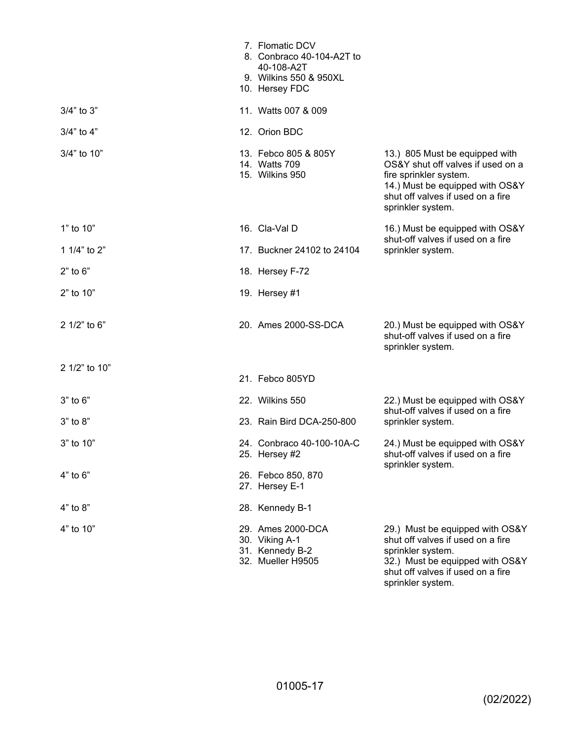|                | 7. Flomatic DCV<br>8. Conbraco 40-104-A2T to<br>40-108-A2T<br>9. Wilkins 550 & 950XL<br>10. Hersey FDC |                                                                                                                                                                                            |
|----------------|--------------------------------------------------------------------------------------------------------|--------------------------------------------------------------------------------------------------------------------------------------------------------------------------------------------|
| $3/4"$ to $3"$ | 11. Watts 007 & 009                                                                                    |                                                                                                                                                                                            |
| $3/4"$ to $4"$ | 12. Orion BDC                                                                                          |                                                                                                                                                                                            |
| 3/4" to 10"    | 13. Febco 805 & 805Y<br>14. Watts 709<br>15. Wilkins 950                                               | 13.) 805 Must be equipped with<br>OS&Y shut off valves if used on a<br>fire sprinkler system.<br>14.) Must be equipped with OS&Y<br>shut off valves if used on a fire<br>sprinkler system. |
| 1" to 10"      | 16. Cla-Val D                                                                                          | 16.) Must be equipped with OS&Y<br>shut-off valves if used on a fire<br>sprinkler system.                                                                                                  |
| 1 1/4" to 2"   | 17. Buckner 24102 to 24104                                                                             |                                                                                                                                                                                            |
| $2"$ to $6"$   | 18. Hersey F-72                                                                                        |                                                                                                                                                                                            |
| 2" to 10"      | 19. Hersey #1                                                                                          |                                                                                                                                                                                            |
| 2 1/2" to 6"   | 20. Ames 2000-SS-DCA                                                                                   | 20.) Must be equipped with OS&Y<br>shut-off valves if used on a fire<br>sprinkler system.                                                                                                  |
| 2 1/2" to 10"  | 21. Febco 805YD                                                                                        |                                                                                                                                                                                            |
| $3"$ to $6"$   | 22. Wilkins 550                                                                                        | 22.) Must be equipped with OS&Y<br>shut-off valves if used on a fire<br>sprinkler system.                                                                                                  |
| 3" to 8"       | 23. Rain Bird DCA-250-800                                                                              |                                                                                                                                                                                            |
| 3" to 10"      | 24. Conbraco 40-100-10A-C<br>25. Hersey #2                                                             | 24.) Must be equipped with OS&Y<br>shut-off valves if used on a fire<br>sprinkler system.                                                                                                  |
| $4"$ to $6"$   | 26. Febco 850, 870<br>27. Hersey E-1                                                                   |                                                                                                                                                                                            |
| 4" to 8"       | 28. Kennedy B-1                                                                                        |                                                                                                                                                                                            |
| 4" to 10"      | 29. Ames 2000-DCA<br>30. Viking A-1<br>31. Kennedy B-2<br>32. Mueller H9505                            | 29.) Must be equipped with OS&Y<br>shut off valves if used on a fire<br>sprinkler system.<br>32.) Must be equipped with OS&Y<br>shut off valves if used on a fire                          |

sprinkler system.